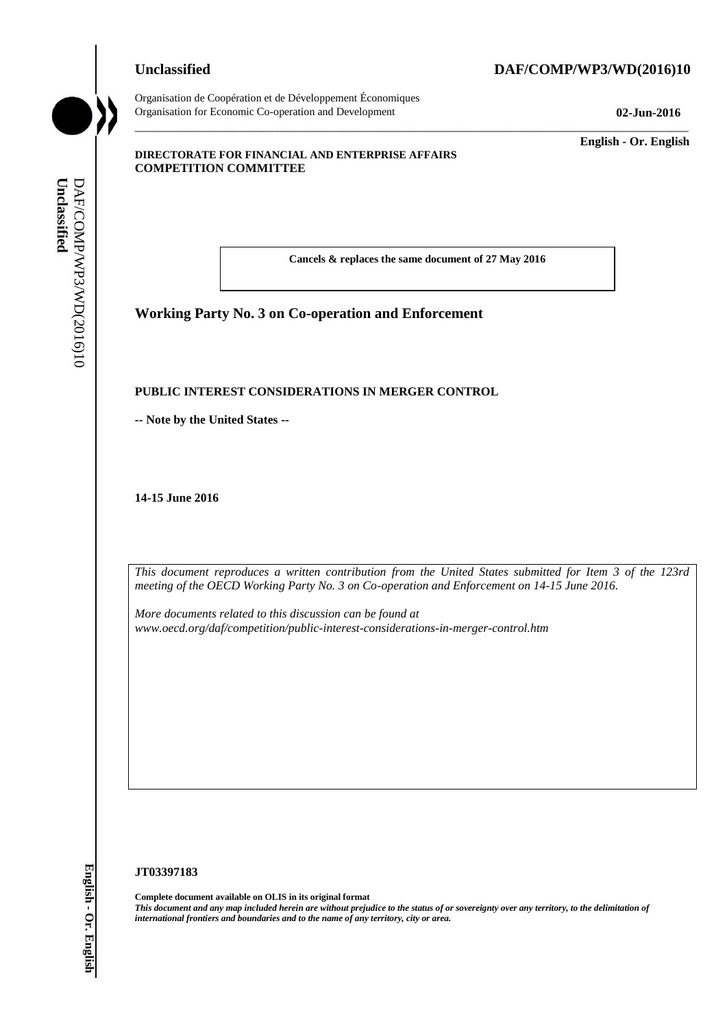Organisation de Coopération et de Développement Économiques Organisation for Economic Co-operation and Development **02-Jun-2016**

**Unclassified DAF/COMP/WP3/WD(2016)10**

\_\_\_\_\_\_\_\_\_\_\_\_\_\_\_\_\_\_\_\_\_\_\_\_\_\_\_\_\_\_\_\_\_\_\_\_\_\_\_\_\_\_\_\_\_\_\_\_\_\_\_\_\_\_\_\_\_\_\_\_\_\_\_\_\_\_\_\_\_\_\_\_\_\_\_\_\_\_\_\_\_\_\_\_\_\_\_\_\_\_\_

\_\_\_\_\_\_\_\_\_\_\_\_\_ **English - Or. English**

#### **DIRECTORATE FOR FINANCIAL AND ENTERPRISE AFFAIRS COMPETITION COMMITTEE**

**Cancels & replaces the same document of 27 May 2016**

# **Working Party No. 3 on Co-operation and Enforcement**

#### **PUBLIC INTEREST CONSIDERATIONS IN MERGER CONTROL**

**-- Note by the United States --**

**14-15 June 2016**

*This document reproduces a written contribution from the United States submitted for Item 3 of the 123rd meeting of the OECD Working Party No. 3 on Co-operation and Enforcement on 14-15 June 2016.* 

*More documents related to this discussion can be found at www.oecd.org/daf/competition/public-interest-considerations-in-merger-control.htm*

#### **JT03397183**

**Complete document available on OLIS in its original format** *This document and any map included herein are without prejudice to the status of or sovereignty over any territory, to the delimitation of*  **iii. iii** *iii iii iii iii iii iii iii iii iii iii iii iii iii iii iii iii iii iii iii iii iii iii iii iii iii iii iii iii iii iii iii iii iii iii iii*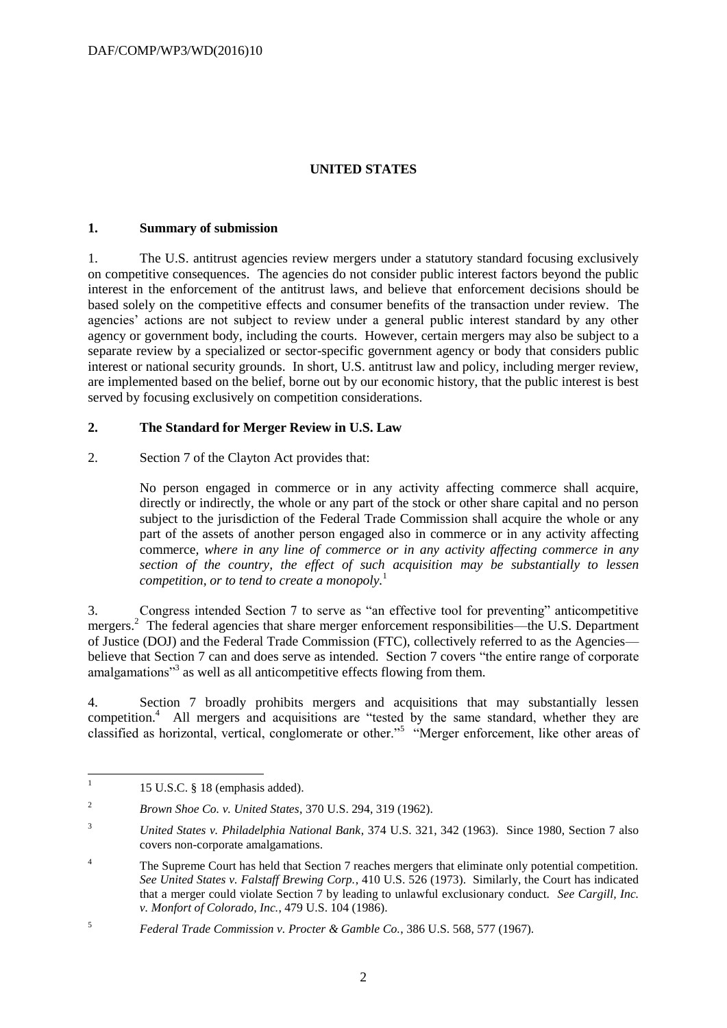# **UNITED STATES**

#### **1. Summary of submission**

1. The U.S. antitrust agencies review mergers under a statutory standard focusing exclusively on competitive consequences. The agencies do not consider public interest factors beyond the public interest in the enforcement of the antitrust laws, and believe that enforcement decisions should be based solely on the competitive effects and consumer benefits of the transaction under review. The agencies' actions are not subject to review under a general public interest standard by any other agency or government body, including the courts. However, certain mergers may also be subject to a separate review by a specialized or sector-specific government agency or body that considers public interest or national security grounds. In short, U.S. antitrust law and policy, including merger review, are implemented based on the belief, borne out by our economic history, that the public interest is best served by focusing exclusively on competition considerations.

#### **2. The Standard for Merger Review in U.S. Law**

2. Section 7 of the Clayton Act provides that:

No person engaged in commerce or in any activity affecting commerce shall acquire, directly or indirectly, the whole or any part of the stock or other share capital and no person subject to the jurisdiction of the Federal Trade Commission shall acquire the whole or any part of the assets of another person engaged also in commerce or in any activity affecting commerce*, where in any line of commerce or in any activity affecting commerce in any section of the country, the effect of such acquisition may be substantially to lessen competition, or to tend to create a monopoly.*<sup>1</sup>

3. Congress intended Section 7 to serve as "an effective tool for preventing" anticompetitive mergers.<sup>2</sup> The federal agencies that share merger enforcement responsibilities—the U.S. Department of Justice (DOJ) and the Federal Trade Commission (FTC), collectively referred to as the Agencies believe that Section 7 can and does serve as intended. Section 7 covers "the entire range of corporate amalgamations"<sup>3</sup> as well as all anticompetitive effects flowing from them.

4. Section 7 broadly prohibits mergers and acquisitions that may substantially lessen competition.<sup>4</sup> All mergers and acquisitions are "tested by the same standard, whether they are classified as horizontal, vertical, conglomerate or other."<sup>5</sup> "Merger enforcement, like other areas of

 $\frac{1}{1}$ 15 U.S.C. § 18 (emphasis added).

<sup>2</sup> *Brown Shoe Co. v. United States*, 370 U.S. 294, 319 (1962).

<sup>3</sup> *United States v. Philadelphia National Bank*, 374 U.S. 321, 342 (1963). Since 1980, Section 7 also covers non-corporate amalgamations.

<sup>&</sup>lt;sup>4</sup> The Supreme Court has held that Section 7 reaches mergers that eliminate only potential competition. *See United States v. Falstaff Brewing Corp.*, 410 U.S. 526 (1973). Similarly, the Court has indicated that a merger could violate Section 7 by leading to unlawful exclusionary conduct. *See Cargill, Inc. v. Monfort of Colorado, Inc.*, 479 U.S. 104 (1986).

<sup>5</sup> *Federal Trade Commission v. Procter & Gamble Co.*, 386 U.S. 568, 577 (1967).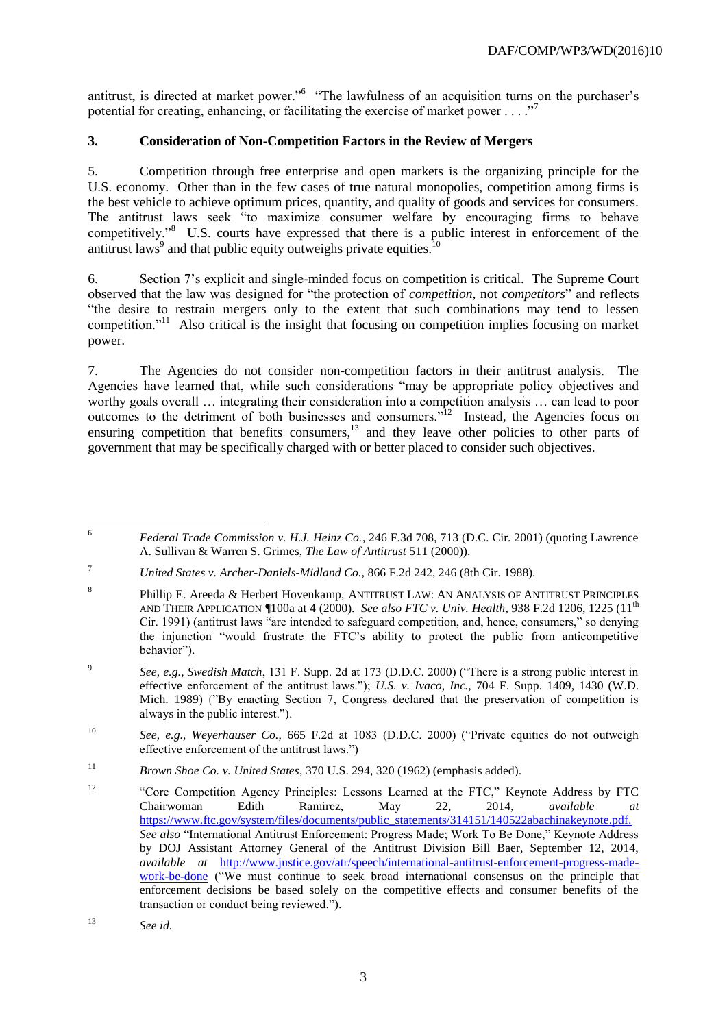antitrust, is directed at market power."<sup>6</sup> "The lawfulness of an acquisition turns on the purchaser's potential for creating, enhancing, or facilitating the exercise of market power  $\dots$ ."<sup>7</sup>

## **3. Consideration of Non-Competition Factors in the Review of Mergers**

5. Competition through free enterprise and open markets is the organizing principle for the U.S. economy. Other than in the few cases of true natural monopolies, competition among firms is the best vehicle to achieve optimum prices, quantity, and quality of goods and services for consumers. The antitrust laws seek "to maximize consumer welfare by encouraging firms to behave competitively."<sup>8</sup> U.S. courts have expressed that there is a public interest in enforcement of the antitrust laws<sup>9</sup> and that public equity outweighs private equities.<sup>10</sup>

6. Section 7's explicit and single-minded focus on competition is critical. The Supreme Court observed that the law was designed for "the protection of *competition*, not *competitors*" and reflects "the desire to restrain mergers only to the extent that such combinations may tend to lessen competition."<sup>11</sup> Also critical is the insight that focusing on competition implies focusing on market power.

7. The Agencies do not consider non-competition factors in their antitrust analysis. The Agencies have learned that, while such considerations "may be appropriate policy objectives and worthy goals overall … integrating their consideration into a competition analysis … can lead to poor outcomes to the detriment of both businesses and consumers."<sup>12</sup> Instead, the Agencies focus on ensuring competition that benefits consumers,<sup>13</sup> and they leave other policies to other parts of government that may be specifically charged with or better placed to consider such objectives.

 $\sqrt{6}$ <sup>6</sup> *Federal Trade Commission v. H.J. Heinz Co.*, 246 F.3d 708, 713 (D.C. Cir. 2001) (quoting Lawrence A. Sullivan & Warren S. Grimes, *The Law of Antitrust* 511 (2000)).

<sup>7</sup> *United States v. Archer-Daniels-Midland Co.*, 866 F.2d 242, 246 (8th Cir. 1988).

<sup>8</sup> Phillip E. Areeda & Herbert Hovenkamp, ANTITRUST LAW: AN ANALYSIS OF ANTITRUST PRINCIPLES AND THEIR APPLICATION ¶100a at 4 (2000). *See also FTC v. Univ. Health*, 938 F.2d 1206, 1225 (11th Cir. 1991) (antitrust laws "are intended to safeguard competition, and, hence, consumers," so denying the injunction "would frustrate the FTC's ability to protect the public from anticompetitive behavior").

<sup>9</sup> *See*, *e.g.*, *Swedish Match*, 131 F. Supp. 2d at 173 (D.D.C. 2000) ("There is a strong public interest in effective enforcement of the antitrust laws."); *U.S. v. Ivaco, Inc.,* 704 F. Supp. 1409, 1430 (W.D. Mich. 1989) ("By enacting Section 7, Congress declared that the preservation of competition is always in the public interest.").

<sup>10</sup> *See*, *e.g.*, *Weyerhauser Co.*, 665 F.2d at 1083 (D.D.C. 2000) ("Private equities do not outweigh effective enforcement of the antitrust laws.")

<sup>11</sup> *Brown Shoe Co. v. United States*, 370 U.S. 294, 320 (1962) (emphasis added).

<sup>&</sup>lt;sup>12</sup> "Core Competition Agency Principles: Lessons Learned at the FTC," Keynote Address by FTC Chairwoman Edith Ramirez, May 22, 2014, *available at*  [https://www.ftc.gov/system/files/documents/public\\_statements/314151/140522abachinakeynote.pdf.](https://www.ftc.gov/system/files/documents/public_statements/314151/140522abachinakeynote.pdf) *See also* "International Antitrust Enforcement: Progress Made; Work To Be Done," Keynote Address by DOJ Assistant Attorney General of the Antitrust Division Bill Baer, September 12, 2014, *available at* [http://www.justice.gov/atr/speech/international-antitrust-enforcement-progress-made](http://www.justice.gov/atr/speech/international-antitrust-enforcement-progress-made-work-be-done)[work-be-done](http://www.justice.gov/atr/speech/international-antitrust-enforcement-progress-made-work-be-done) ("We must continue to seek broad international consensus on the principle that enforcement decisions be based solely on the competitive effects and consumer benefits of the transaction or conduct being reviewed.").

<sup>13</sup> *See id.*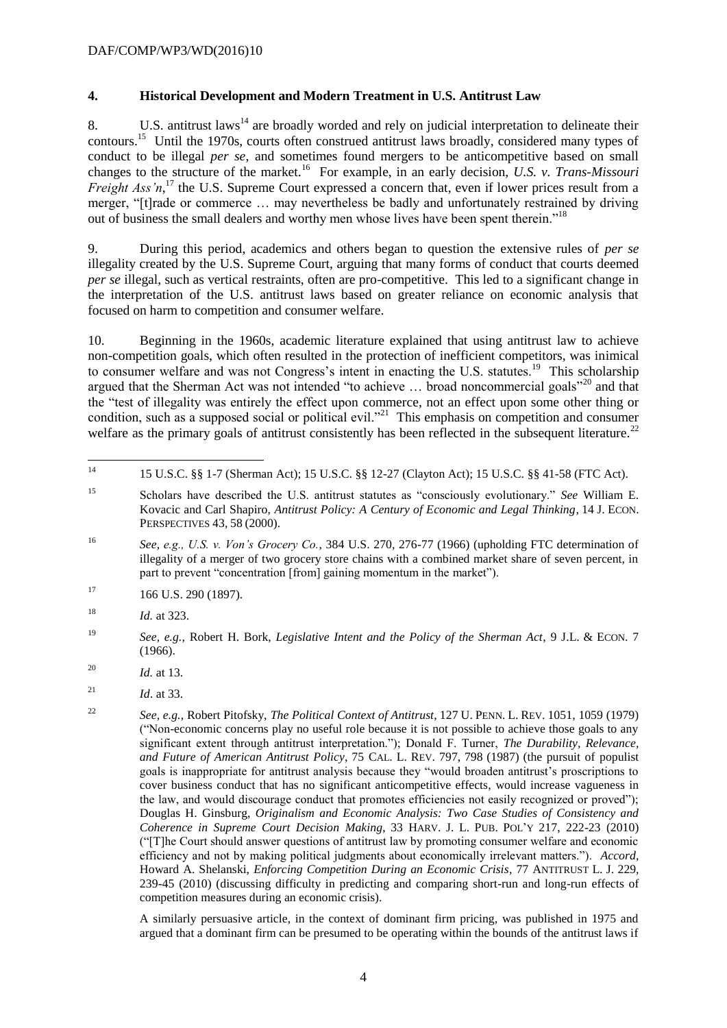#### DAF/COMP/WP3/WD(2016)10

#### **4. Historical Development and Modern Treatment in U.S. Antitrust Law**

8. U.S. antitrust laws<sup>14</sup> are broadly worded and rely on judicial interpretation to delineate their contours.<sup>15</sup> Until the 1970s, courts often construed antitrust laws broadly, considered many types of conduct to be illegal *per se*, and sometimes found mergers to be anticompetitive based on small changes to the structure of the market.<sup>16</sup> For example, in an early decision, *U.S. v. Trans-Missouri Freight Ass'n*,<sup>17</sup> the U.S. Supreme Court expressed a concern that, even if lower prices result from a merger, "[t]rade or commerce … may nevertheless be badly and unfortunately restrained by driving out of business the small dealers and worthy men whose lives have been spent therein."<sup>18</sup>

9. During this period, academics and others began to question the extensive rules of *per se* illegality created by the U.S. Supreme Court, arguing that many forms of conduct that courts deemed *per se* illegal, such as vertical restraints, often are pro-competitive. This led to a significant change in the interpretation of the U.S. antitrust laws based on greater reliance on economic analysis that focused on harm to competition and consumer welfare.

10. Beginning in the 1960s, academic literature explained that using antitrust law to achieve non-competition goals, which often resulted in the protection of inefficient competitors, was inimical to consumer welfare and was not Congress's intent in enacting the U.S. statutes.<sup>19</sup> This scholarship argued that the Sherman Act was not intended "to achieve ... broad noncommercial goals"<sup>20</sup> and that the "test of illegality was entirely the effect upon commerce, not an effect upon some other thing or condition, such as a supposed social or political evil."<sup>21</sup> This emphasis on competition and consumer welfare as the primary goals of antitrust consistently has been reflected in the subsequent literature.<sup>22</sup>

- <sup>16</sup> *See, e.g., U.S. v. Von's Grocery Co.*, 384 U.S. 270, 276-77 (1966) (upholding FTC determination of illegality of a merger of two grocery store chains with a combined market share of seven percent, in part to prevent "concentration [from] gaining momentum in the market").
- $17$  166 U.S. 290 (1897).
- <sup>18</sup> *Id.* at 323.

<sup>20</sup> *Id.* at 13.

A similarly persuasive article, in the context of dominant firm pricing, was published in 1975 and argued that a dominant firm can be presumed to be operating within the bounds of the antitrust laws if

 $14$ <sup>14</sup> 15 U.S.C. §§ 1-7 (Sherman Act); 15 U.S.C. §§ 12-27 (Clayton Act); 15 U.S.C. §§ 41-58 (FTC Act).

<sup>15</sup> Scholars have described the U.S. antitrust statutes as "consciously evolutionary." *See* William E. Kovacic and Carl Shapiro, *Antitrust Policy: A Century of Economic and Legal Thinking*, 14 J. ECON. PERSPECTIVES 43, 58 (2000).

<sup>19</sup> *See, e.g.,* Robert H. Bork, *Legislative Intent and the Policy of the Sherman Act*, 9 J.L. & ECON. 7 (1966).

<sup>21</sup> *Id*. at 33.

<sup>22</sup> *See, e.g.*, Robert Pitofsky, *The Political Context of Antitrust*, 127 U. PENN. L. REV. 1051, 1059 (1979) ("Non-economic concerns play no useful role because it is not possible to achieve those goals to any significant extent through antitrust interpretation."); Donald F. Turner, *The Durability, Relevance, and Future of American Antitrust Policy*, 75 CAL. L. REV. 797, 798 (1987) (the pursuit of populist goals is inappropriate for antitrust analysis because they "would broaden antitrust's proscriptions to cover business conduct that has no significant anticompetitive effects, would increase vagueness in the law, and would discourage conduct that promotes efficiencies not easily recognized or proved"); Douglas H. Ginsburg, *Originalism and Economic Analysis: Two Case Studies of Consistency and Coherence in Supreme Court Decision Making*, 33 HARV. J. L. PUB. POL'Y 217, 222-23 (2010) ("[T]he Court should answer questions of antitrust law by promoting consumer welfare and economic efficiency and not by making political judgments about economically irrelevant matters."). *Accord*, Howard A. Shelanski, *Enforcing Competition During an Economic Crisis*, 77 ANTITRUST L. J. 229, 239-45 (2010) (discussing difficulty in predicting and comparing short-run and long-run effects of competition measures during an economic crisis).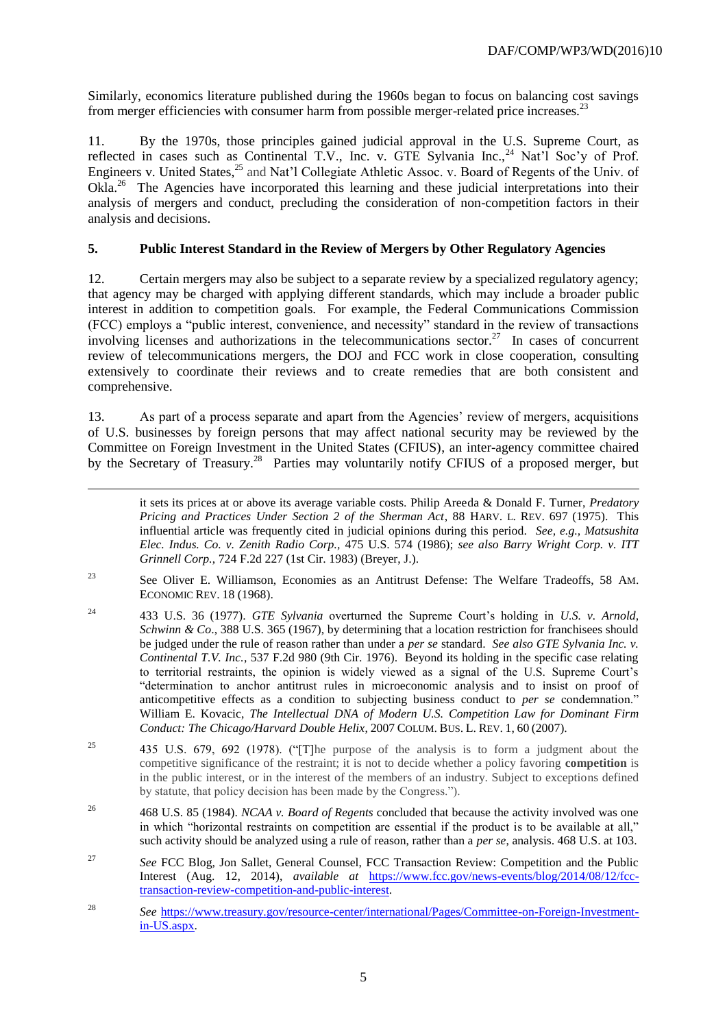Similarly, economics literature published during the 1960s began to focus on balancing cost savings from merger efficiencies with consumer harm from possible merger-related price increases.<sup>23</sup>

11. By the 1970s, those principles gained judicial approval in the U.S. Supreme Court, as reflected in cases such as Continental T.V., Inc. v. GTE Sylvania Inc.,<sup>24</sup> Nat'l Soc'y of Prof. Engineers v. United States,<sup>25</sup> and Nat'l Collegiate Athletic Assoc. v. Board of Regents of the Univ. of Okla.<sup>26</sup> The Agencies have incorporated this learning and these judicial interpretations into their analysis of mergers and conduct, precluding the consideration of non-competition factors in their analysis and decisions.

## **5. Public Interest Standard in the Review of Mergers by Other Regulatory Agencies**

12. Certain mergers may also be subject to a separate review by a specialized regulatory agency; that agency may be charged with applying different standards, which may include a broader public interest in addition to competition goals. For example, the Federal Communications Commission (FCC) employs a "public interest, convenience, and necessity" standard in the review of transactions involving licenses and authorizations in the telecommunications sector.<sup>27</sup> In cases of concurrent review of telecommunications mergers, the DOJ and FCC work in close cooperation, consulting extensively to coordinate their reviews and to create remedies that are both consistent and comprehensive.

13. As part of a process separate and apart from the Agencies' review of mergers, acquisitions of U.S. businesses by foreign persons that may affect national security may be reviewed by the Committee on Foreign Investment in the United States (CFIUS), an inter-agency committee chaired by the Secretary of Treasury.<sup>28</sup> Parties may voluntarily notify CFIUS of a proposed merger, but

1

- <sup>24</sup> 433 U.S. 36 (1977). *GTE Sylvania* overturned the Supreme Court's holding in *U.S. v. Arnold, Schwinn & Co.*, 388 U.S. 365 (1967), by determining that a location restriction for franchisees should be judged under the rule of reason rather than under a *per se* standard. *See also GTE Sylvania Inc. v. Continental T.V. Inc.*, 537 F.2d 980 (9th Cir. 1976). Beyond its holding in the specific case relating to territorial restraints, the opinion is widely viewed as a signal of the U.S. Supreme Court's "determination to anchor antitrust rules in microeconomic analysis and to insist on proof of anticompetitive effects as a condition to subjecting business conduct to *per se* condemnation." William E. Kovacic, *The Intellectual DNA of Modern U.S. Competition Law for Dominant Firm Conduct: The Chicago/Harvard Double Helix*, 2007 COLUM. BUS. L. REV. 1, 60 (2007).
- <sup>25</sup> 435 U.S. 679, 692 (1978). ("[T]he purpose of the analysis is to form a judgment about the competitive significance of the restraint; it is not to decide whether a policy favoring **competition** is in the public interest, or in the interest of the members of an industry. Subject to exceptions defined by statute, that policy decision has been made by the Congress.").
- <sup>26</sup> 468 U.S. 85 (1984). *NCAA v. Board of Regents* concluded that because the activity involved was one in which "horizontal restraints on competition are essential if the product is to be available at all," such activity should be analyzed using a rule of reason, rather than a *per se*, analysis. 468 U.S. at 103.
- <sup>27</sup> See FCC Blog, Jon Sallet, General Counsel, FCC Transaction Review: Competition and the Public Interest (Aug. 12, 2014), *available at* [https://www.fcc.gov/news-events/blog/2014/08/12/fcc](https://www.fcc.gov/news-events/blog/2014/08/12/fcc-transaction-review-competition-and-public-interest)[transaction-review-competition-and-public-interest.](https://www.fcc.gov/news-events/blog/2014/08/12/fcc-transaction-review-competition-and-public-interest)
- <sup>28</sup> *See* [https://www.treasury.gov/resource-center/international/Pages/Committee-on-Foreign-Investment](https://www.treasury.gov/resource-center/international/Pages/Committee-on-Foreign-Investment-in-US.aspx)[in-US.aspx.](https://www.treasury.gov/resource-center/international/Pages/Committee-on-Foreign-Investment-in-US.aspx)

it sets its prices at or above its average variable costs. Philip Areeda & Donald F. Turner, *Predatory Pricing and Practices Under Section 2 of the Sherman Act*, 88 HARV. L. REV. 697 (1975). This influential article was frequently cited in judicial opinions during this period. *See, e.g., Matsushita Elec. Indus. Co. v. Zenith Radio Corp.,* 475 U.S. 574 (1986); *see also Barry Wright Corp. v. ITT Grinnell Corp.*, 724 F.2d 227 (1st Cir. 1983) (Breyer, J.).

<sup>23</sup> See Oliver E. Williamson, Economies as an Antitrust Defense: The Welfare Tradeoffs, 58 AM. ECONOMIC REV. 18 (1968).